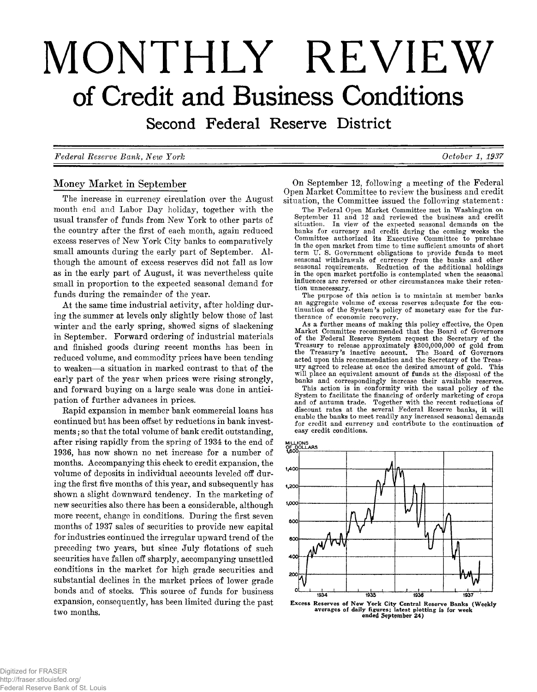# **MONTHLY REVIEW of Credit and Business Conditions**

Second Federal Reserve District

*Federal Eeserve Bank, New York October 1, 1937*

# Money Market in September

The increase in currency circulation over the August month end and Labor Day holiday, together with the usual transfer of funds from New York to other parts of the country after the first of each month, again reduced excess reserves of New York City banks to comparatively small amounts during the early part of September. Although the amount of excess reserves did not fall as low as in the early part of August, it was nevertheless quite small in proportion to the expected seasonal demand for funds during the remainder of the year.

At the same time industrial activity, after holding during the summer at levels only slightly below those of last winter and the early spring, showed signs of slackening in September. Forward ordering of industrial materials and finished goods during recent months has been in reduced volume, and commodity prices have been tending to weaken—a situation in marked contrast to that of the early part of the year when prices were rising strongly, and forward buying on a large scale was done in anticipation of further advances in prices.

Rapid expansion in member bank commercial loans has continued but has been offset by reductions in bank investments; so that the total volume of bank credit outstanding, after rising rapidly from the spring of 1934 to the end of 1936, has now shown no net increase for a number of months. Accompanying this check to credit expansion, the volume of deposits in individual accounts leveled off during the first five months of this year, and subsequently has shown a slight downward tendency. In the marketing of new securities also there has been a considerable, although more recent, change in conditions. During the first seven months of 1937 sales of securities to provide new capital for industries continued the irregular upward trend of the preceding two years, but since July flotations of such securities have fallen off sharply, accompanying unsettled conditions in the market for high grade securities and substantial declines in the market prices of lower grade bonds and of stocks. This source of funds for business expansion, consequently, has been limited during the past two months.

On September 12, following a meeting of the Federal Open Market Committee to review the business and credit situation, the Committee issued the following statement:

The Federal Open Market Committee met in Washington on September 11 and 12 and reviewed the business and credit situation. In view of the expected seasonal demands on the banks for currency and credit during the coming weeks the Committee authorized its Executive Committee to purchase in the open market from time to time sufficient amounts of short term U. S. Government obligations to provide funds to meet seasonal withdrawals of currency from the banks and other seasonal requirements. Reduction of the additional holdings in the open market portfolio is contemplated when the seasonal influences are reversed or other circumstances make their retention unnecessary.

The purpose of this action is to maintain at member banks an aggregate volume of excess reserves adequate for the continuation of the System's policy of monetary ease for the furtherance of economic recovery.

As a further means of making this policy effective, the Open Market Committee recommended that the Board of Governors of the Federal Reserve System request the Secretary of the Treasury to release approximately \$300,000,000 of gold from the Treasury's inactive account. acted upon this recommendation and the Secretary of the Treasury agreed to release at once the desired amount of gold. This will place an equivalent amount of funds at the disposal of the banks and correspondingly increase their available reserves.

This action is in conformity with the usual policy of the System to facilitate the financing of orderly marketing of crops and of autumn trade. Together with the recent reductions of discount rates at the several Federal Reserve banks, it will enable the banks to meet readily any increased seasonal demands for credit and currency and contribute to the continuation of easy credit conditions.



Excess Reserves of New York City Central Reserve Banks (Weekly<br>averages of daily figures; latest plotting is for week<br>ended September 24)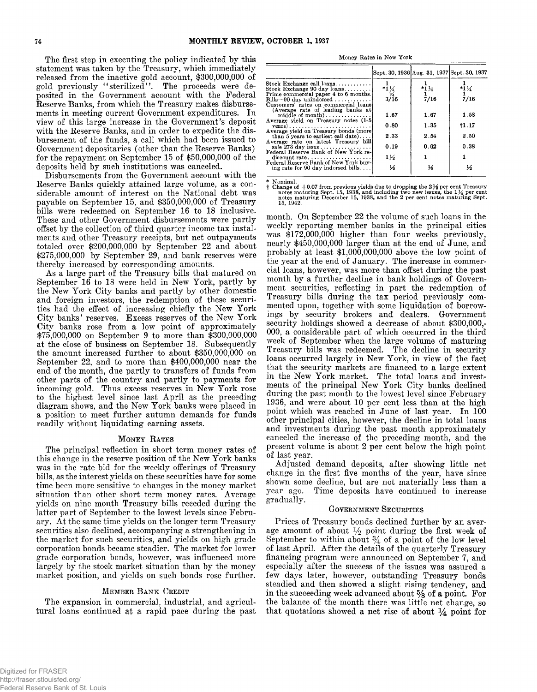The first step in executing the policy indicated by this<br>statement was taken by the Treasury, which immediately<br>released from the inactive gold account, \$300,000,000 of<br>gold previously "sterilized". The proceeds were de-<br>

ties had the effect of increasing chiefly the New York<br>City banks' reserves. Excess reserves of the New York<br>City banks rose from a low point of approximately<br>\$75,000,000 on September 9 to more than \$300,000,000<br>at the clo

#### **MONEY RATES**

The principal reflection in short term money rates of<br>this change in the reserve position of the New York banks<br>was in the rate bid for the weekly offerings of Treasury<br>bills, as the interest yields on these securities hav largely by the stock market situation than by the money market position, and yields on such bonds rose further.

#### **MEMBER BANK CREDIT**

The expansion in commercial, industrial, and agricultural loans continued at a rapid pace during the past

Money Rates in New **York**

|                                                                              |                  | Sept. 30, 1936 Aug. 31, 1937 Sept. 30, 1937 |                 |
|------------------------------------------------------------------------------|------------------|---------------------------------------------|-----------------|
| Stock Exchange call $\{$ loans                                               |                  |                                             |                 |
| Stock Exchange 90 day $\{ \text{bans.}, \ldots, \ldots \}$                   | $*1\frac{1}{34}$ | $*1\frac{1}{4}$                             | $*1\frac{1}{4}$ |
| Prime commercial paper 4 to 6 months.<br>Bills-90 day unindorsed             | 3/16             | 7/16                                        | 7/16            |
| Customers' rates on commercial loans                                         |                  |                                             |                 |
| (Average rate of leading banks at<br>middle of month)                        | 1.67             | 1.67                                        | 1.58            |
| Average yield on Treasury notes (1-5)<br>$\text{years}$ )                    | 0.80             | 1.35                                        | †1.17           |
| Average yield on Treasury bonds (more<br>than 5 years to earliest call date) | 2.33             | 2.54                                        | 2.50            |
| Average rate on latest Treasury bill                                         |                  |                                             |                 |
| sale $273$ day issue                                                         | 0.19             | 0.62                                        | 0.38            |
| Federal Reserve Bank of New York re-<br>$discount rate \ldots  \ldots $      | $1\frac{1}{2}$   |                                             |                 |
| Federal Reserve Bank of New York buy-<br>ing rate for 90 day indorsed bills  | 14               | ⅓                                           | 14              |

The Change of  $+0.07$  from previous yields due to dropping the  $2\frac{1}{2}$  per cent Treasury<br>notes maturing Sept. 15, 1938, and including two new issues, the  $1\frac{1}{2}$  per cent<br>notes maturing December 15, 1938, and the 2

month. On September 22 the volume of such loans in the weekly reporting member banks in the principal cities was \$172,000,000 higher than four weeks previously, nearly \$450,000,000 larger than at the end of June, and probably at least  $$1,000,000,000$  above the low point of the year at the end of January. The increase in commer-<br>cial loans, however, was more than offset during the past eial loans, however, was more than offset during the past<br>month by a further decline in bank holdings of Govern-<br>ment securities, reflecting in part the redemption of<br>Treasury bills during the tax period previously com-<br>me

of last year. Adjusted demand deposits, after showing little net<br>change in the first five months of the year, have since<br>shown some decline, but are not materially less than a<br>year ago. Time deposits have continued to incr

#### **GOVERNMENT SECURITIES**

Prices of Treasury bonds declined further by an average amount of about  $\frac{1}{2}$  point during the first week of September to within about  $\frac{3}{4}$  of a point of the low level<br>of last April. After the details of the quarterly Treasury<br>financing program were announced on September 7, and<br>especially after the success of the issues wa in the succeeding week advanced about  $\frac{5}{8}$  of a point. For the balance of the month there was little net change, so that quotations showed a net rise of about  $\frac{1}{4}$  point for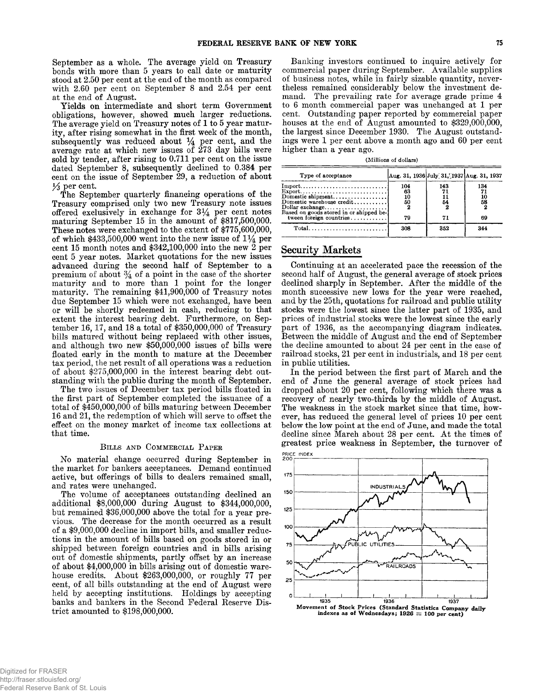September as a whole. The average yield on Treasury bonds with more than 5 years to call date or maturity stood at 2.50 per cent at the end of August.<br>with 2.60 per cent on September 8 and 2.54 per cent at the end of Augu

Yields on intermediate and short term Government<br>obligations, however, showed much larger reductions.<br>The average yield on Treasury notes of 1 to 5 year matur-<br>ity, after rising somewhat in the first week of the month,<br>su

35 per cent.<br>
The September quarterly financing operations of the<br>
Treasury comprised only two new Treasury note issues<br>
offered exclusively in exchange for  $3\frac{1}{4}$  per cent notes<br>
maturing September 15 in the amount o maturity. The remaining \$41,900,000 of Treasury notes due September 15 which were not exchanged, have been or will be shortly redeemed in cash, reducing to that extent the interest bearing debt. Furthermore, on Sepor wind to interest bearing debt. Furthermore, on September 16, 17, and 18 a total of \$350,000,000 of Treasury bills matured without being replaced with other issues, and although two new \$50,000,000 issues of bills were f

#### **B ills a n d C o m m e r c ia l P aper**

No material change occurred during September in<br>the market for bankers acceptances. Demand continued<br>active, but offerings of bills to dealers remained small,<br>and rates were unchanged.<br>The volume of acceptances outstanding

vious. The decrease for the month occurred as a result<br>of a \$9,000,000 decline in import bills, and smaller reduc-<br>tions in the amount of bills based on goods stored in or<br>shipped between foreign countries and in bills ari out of domestic shipments, partly offset by an increase of about \$4,000,000 in bills arising out of domestic warehouse credits. About \$263,000,000, or roughly 77 per cent, of all bills outstanding at the end of August were held by accepting institutions. Holdings by accepting banks and bankers in the Second Federal Reserve District amounted to \$198,000,000. Banking investors continued to inquire actively for<br>commercial paper during September. Available supplies<br>of business notes, while in fairly sizable quantity, never-<br>theless remained considerably below the investment de-<br>m

| (Millions of dollars) |  |  |  |
|-----------------------|--|--|--|
|-----------------------|--|--|--|

| Type of acceptance      |     | Aug. 31, 1936 July 31, 1937 Aug. 31, 1937 |                 |
|-------------------------|-----|-------------------------------------------|-----------------|
|                         | 104 | 143                                       | 134             |
|                         | 63  |                                           |                 |
|                         | 10  |                                           | $\frac{10}{58}$ |
|                         | 5Ō  | 54                                        |                 |
|                         |     |                                           |                 |
| tween foreign countries | 79  |                                           | 69              |
| $Total.$                | 308 | 352                                       | 344             |

# Security Markets

Continuing at an accelerated pace the recession of the<br>second half of August, the general average of stock prices<br>declined sharply in September. After the middle of the<br>month successive new lows for the year were reached,<br>

in public utilities.<br>In the period between the first part of March and the<br>end of June the general average of stock prices had<br>dropped about 20 per cent, following which there was a<br>recovery of nearly two-thirds by the mid

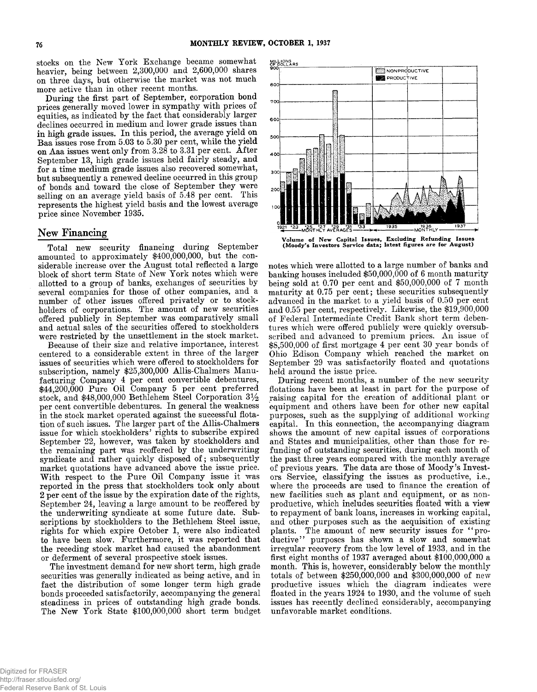stocks on the New York Exchange became somewhat heavier, being between 2,300,000 and 2,600,000 shares on three days, but otherwise the market was not much

momentally, but otherwise the market was not much<br>on three days, but otherwise the market was not much<br>more active than in other recent months.<br>During the first part of September, corporation bond<br>prices generally moved lo represents the highest yield basis and the lowest average price since November 1935.

# New Financing

Total new security financing during September<br>amounted to approximately \$400,000,000, but the con-<br>siderable increase over the August total reflected a large<br>siderable increase over the August total reflected a large<br>allo September 24, leaving a large amount to be reoffered by<br>the underwriting syndicate at some future date. Sub-<br>scriptions by stockholders to the Bethlehem Steel issue,<br>rights for which expire October 1, were also indicated<br>t

fact the distribution of some longer term high grade<br>bonds proceeded satisfactorily, accompanying the general<br>steadiness in prices of outstanding high grade bonds.<br>The New York State \$100,000,000 short term budget

MILLIONS<br>OF DOLLARS



Volume of New Capital Issues, Excluding Refunding Issues<br>(Moody's Investors Service data; latest figures are for August)

notes which were allotted to a large number of banks and<br>banking houses included  $$50,000,000$  of 6 month maturity<br>being sold at 0.70 per cent and  $$50,000,000$  of 7 month<br>maturity at 0.75 per cent; these securities subse

beld around the issue price.<br>
During recent months, a number of the new security<br>
flotations have been at least in part for the purpose of<br>
raising capital for the creation of additional plant or<br>
equipment and others have to repayment of bank loans, increases in working capital,<br>and other purposes such as the acquisition of existing<br>plants. The amount of new security issues for "pro-<br>ductive" purposes has shown a slow and somewhat<br>irregula unfavorable market conditions.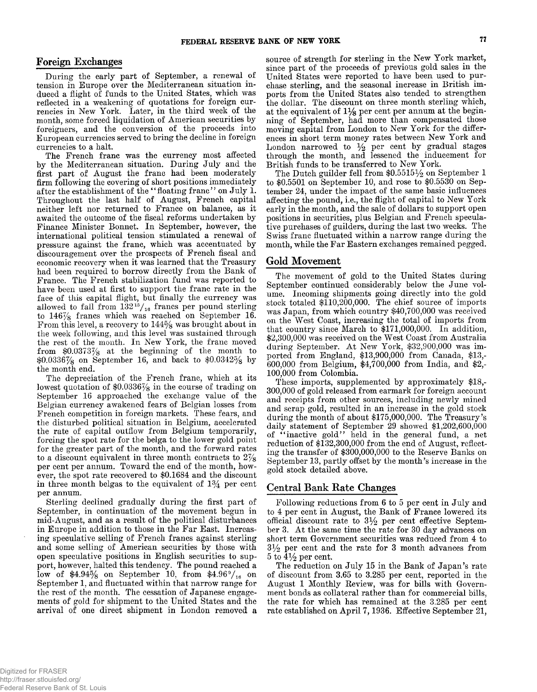During the early part of September, a renewal of<br>tension in Europe over the Mediterranean situation in-<br>dueed a flight of funds to the United States, which was<br>reflected in a weakening of quotations for foreign cur-<br>rencie

currencies to a halt.<br>
The French franc was the currency most affected<br>
by the Mediterranean situation. During July and the<br>
first part of August the franc had been moderately<br>
firm following the covering of short positio allowed to fall from  $132^{15}/_{16}$  francs per pound sterling<br>to  $146\frac{7}{8}$  francs which was reached on September 16.<br>From this level, a recovery to  $144\frac{5}{8}$  was brought about in<br>the week following, and this level wa

the month end.<br>The depreciation of the French franc, which at its<br>lowest quotation of \$0.03367/<sub>8</sub> in the course of trading on<br>September 16 approached the exchange value of the<br>Belgian currency awakened fears of Belgian l in three month belgas to the equivalent of  $1\frac{3}{4}$  per cent per annum.

Sterling declined gradually during the first part of September, in continuation of the movement begun in mid-August, and as a result of the political disturbances<br>in Europe in addition to those in the Far East. Increas-<br>ing speculative selling of French francs against sterling<br>and some selling of American securities by those low of \$4.94% on September 10, from \$4.96 $\frac{9}{16}$  on September 1, and fluctuated within that narrow range for the rest of the month. The cessation of Japanese engagements of gold for shipment to the United States and th arrival of one direct shipment in London removed a

**Foreign Exchanges** source of strength for sterling in the New York market,<br>During the early part of September, a renewal of United States were reported to have been used to purific<br>tension in Europe over the Mediterranea

London narrowed to  $\frac{1}{2}$  per cent by gradual stages<br>through the month, and lessened the inducement for<br>British funds to be transferred to New York.<br>The Dutch guilder fell from \$0.55151/<sub>2</sub> on September 1<br>to \$0.5501 on

# Gold Movement

The movement of gold to the United States during<br>September continued considerably below the June vol-<br>ume. Incoming shipments going directly into the gold<br>stock totaled \$110,200,000. The chief source of imports<br>was Japan,

100,000 from Colombia.<br>These imports, supplemented by approximately \$18,-300,000 from Colombia.<br>300,000 of gold released from earmark for foreign account<br>and receipts from other sources, including newly mined<br>and scrap gol

# Central Bank Rate Changes

Following reductions from 6 to 5 per cent in July and to 4 per cent in August, the Bank of France lowered its official discount rate to  $3\frac{1}{2}$  per cent effective September 3. At the same time the rate for 30 day advances on short term Government securities was reduced from 4 to  $3\frac{1}{2}$  per cent and the rate for 3 month advances from 5 to  $4\frac{1}{2}$  per cent.

The reduction on July 15 in the Bank of Japan's rate<br>of discount from 3.65 to 3.285 per cent, reported in the<br>August 1 Monthly Review, was for bills with Govern-<br>ment bonds as collateral rather than for commercial bills,<br>t rate established on April 7, 1936. Effective September 21,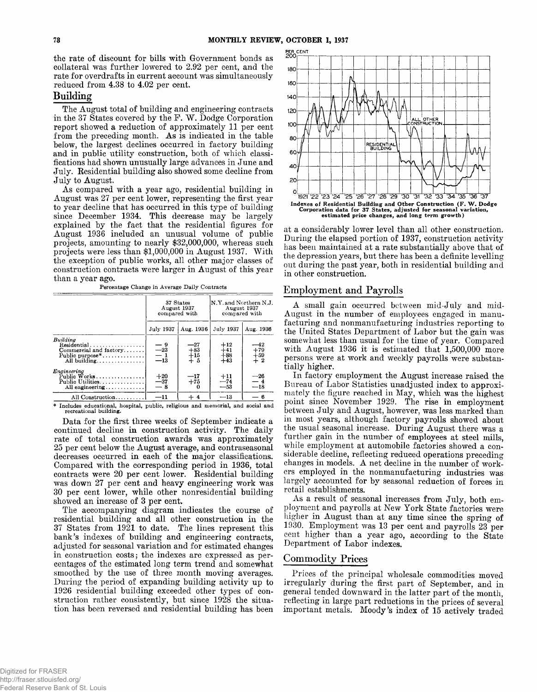the rate of discount for bills with Government bonds as collateral was further lowered to 2.92 per cent, and the rate for overdrafts in current account was simultaneously reduced from 4.38 to 4.02 per cent.

# **Building**

The August total of building and engineering contracts<br>in the 37 States covered by the F. W. Dodge Corporation<br>report showed a reduction of approximately 11 per cent<br>from the preceding month. As is indicated in the table<br>b

August was 27 per cent lower, representing the first year<br>to year decline that has occurred in this type of building<br>since December 1934. This decrease may be largely<br>explained by the fact that the residential figures for<br> the exception of public works, all other major classes of construction contracts were larger in August of this year than a year ago.

**Percentage Change in Average Daily Contracts**

|                                                                       |                          | 37 States<br>August 1937<br>compared with | N.Y. and Northern N.J.<br>August 1937<br>compared with |                               |  |
|-----------------------------------------------------------------------|--------------------------|-------------------------------------------|--------------------------------------------------------|-------------------------------|--|
|                                                                       | July 1937                | Aug. 1936                                 | July 1937                                              | Aug. 1936                     |  |
| Building<br>Commercial and factory<br>Public purpose*<br>All building | $-23\n-1\n-13$           | $-27$<br>$+83$<br>$+15$<br>$+5$           | $+12$<br>$+41$<br>$+88$<br>$+43$                       | ---42<br>$+79$<br>$+59$<br>+2 |  |
| Engineering<br>Public Works<br>Public Utilities<br>All engineering    | $+20$<br>$\frac{-37}{8}$ | —17<br>$+75$                              | $+11$<br>$-74$<br>$-53$                                | $\frac{-26}{-4}$<br>$-18$     |  |
| All Construction                                                      | $-11$                    | $+4$                                      | $-13$                                                  | — 6                           |  |

**\* Includes educational, hospital, public, religious and memorial, and social and recreational building.**

Data for the first three weeks of September indicate a<br>continued decline in construction activity. The daily<br>rate of total construction awards was approximately<br>25 per cent below the August average, and contraseasonal<br>decr

smoothed by the use of three month moving averages.<br>During the period of expanding building activity up to 1926 residential building exceeded other types of construction rather consistently, but since 1928 the situation ha



at a considerably lower level than all other construction.<br>During the elapsed portion of 1937, construction activity<br>has been maintained at a rate substantially above that of<br>the depression years, but there has been a defi

# Employment and Payrolls

A small gain occurred between mid-July and mid-<br>August in the number of employees engaged in manu-<br>facturing and nonmanufacturing industries reporting to<br>the United States Department of Labor but the gain was<br>somewhat less

Bureau of Labor Statistics unadjusted index to approximately the figure reached in May, which was the highest point since November 1929. The rise in employment between July and August, however, was less marked than in most ers employed in the nonmanufacturing industries was largely accounted for by seasonal reduction of forces in retail establishments.<br>As a result of seasonal increases from July, both em-

ployment and payrolls at New York State factories were higher in August than at any time since the spring of 1930. Employment was 13 per cent and payrolls 23 per cent higher than a year ago, according to the State Department of Labor indexes.

# Commodity Prices

Prices of the principal wholesale commodities moved<br>irregularly during the first part of September, and in<br>general tended downward in the latter part of the month,<br>reflecting in large part reductions in the prices of sever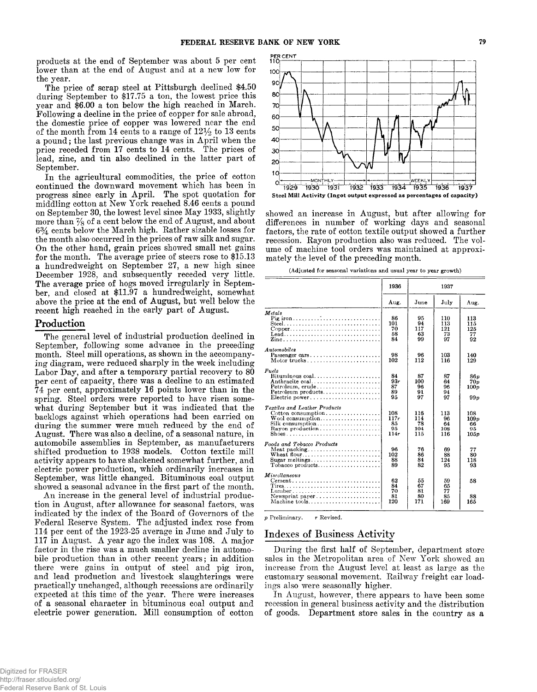products at the end of September was about 5 per cent<br>lower than at the end of August and at a new low for<br>the year. The price of scrap steel at Pittsburgh declined \$4.50<br>during September to \$17.75 a ton, the lowest price

September.<br>In the agricultural commodities, the price of cotton<br>continued the downward movement which has been in<br>progress since early in April. The spot quotation for<br>middling cotton at New York reached 8.46 cents a poun  $6\frac{3}{4}$  cents below the March high. Rather sizable losses for<br>the month also occurred in the prices of raw silk and sugar.<br>On the other hand, grain prices showed small net gains<br>for the month. The average price of stee ber, and closed at \$11.97 a hundredweight, somewhat above the price at the end of August, but well below the recent high reached in the early part of August.

## Production

The general level of industrial production declined in<br>September, following some advance in the preceding<br>month. Steel mill operations, as shown in the accompany-<br>ing diagram, were reduced sharply in the week including<br>Lab

Federal Reserve System. The adjusted index rose from<br>114 per cent of the 1923-25 average in June and July to<br>117 in August. A year ago the index was 108. A major<br>factor in the rise was a much smaller decline in automobile production than in other recent years; in addition there were gains in output of steel and pig iron, and lead production and livestock slaughterings were<br>practically unchanged, although recessions are ordinarily<br>expected at this time of the year. There were increases<br>of a seasonal character in bituminous coal output and<br>e



showed an increase in August, but after allowing for<br>differences in number of working days and seasonal<br>factors, the rate of cotton textile output showed a further<br>recession. Rayon production also was reduced. The vol-<br>ume

**(Adjusted for seasonal variations and usual year to year growth)**

|                                                                                                                                                    | 1936                            | 1937                           |                               |                                 |
|----------------------------------------------------------------------------------------------------------------------------------------------------|---------------------------------|--------------------------------|-------------------------------|---------------------------------|
|                                                                                                                                                    | Aug.                            | June                           | July                          | Aug.                            |
| Metals<br>$Copper \ldots \ldots \ldots \ldots \ldots \ldots \ldots \ldots \ldots$<br>Lead                                                          | 86<br>101<br>70<br>58<br>84     | 95<br>94<br>117<br>63<br>99    | 110<br>113<br>121<br>73<br>97 | 113<br>115<br>125<br>77<br>92   |
| Automobiles<br>Passenger cars                                                                                                                      | 98<br>102                       | 96<br>112                      | 103<br>116                    | 140<br>129                      |
| Fuels<br>$Bituminous coal. \ldots \ldots \ldots \ldots \ldots \ldots$<br>Anthracite coal<br>$Petroleum, crude \ldots \ldots \ldots \ldots \ldots$  | 84<br>93r<br>87<br>89<br>95     | 87<br>100<br>96<br>91<br>97    | 87<br>64<br>96<br>94<br>97    | 86n<br>70p<br>100p<br>99p       |
| <b>Textiles and Leather Products</b><br>Cotton consumption<br>$W$ ool consumption<br>$\text{Silk consumption} \dots \dots \dots \dots \dots \dots$ | 108<br>117r<br>85<br>95<br>114r | 116<br>114<br>78<br>104<br>115 | 113<br>96<br>64<br>108<br>116 | 108<br>109p<br>66<br>95<br>105p |
| Foods and Tobacco Products<br>Wheat flour                                                                                                          | 96<br>102<br>88<br>89           | 76<br>86<br>84<br>82           | 69<br>88<br>124<br>95         | 77<br>80<br>118<br>93           |
| <i>Miscellaneous</i><br>$Cement \ldots \ldots \ldots \ldots \ldots \ldots \ldots \ldots \ldots$<br>Tires<br>$L$ umber,<br>Machine tools            | 62<br>84<br>70<br>81<br>120     | 55<br>67<br>81<br>80<br>171    | 59<br>65<br>77<br>85<br>169   | 58<br>88<br>165                 |

*p* **Preliminary. r Revised.**

# Indexes of Business Activity

During the first half of September, department store sales in the Metropolitan area of New York showed an increase from the August level at least as large as the customary seasonal movement. Railway freight car loadings also were seasonally higher.

In August, however, there appears to have been some recession in general business activity and the distribution of goods. Department store sales in the country as a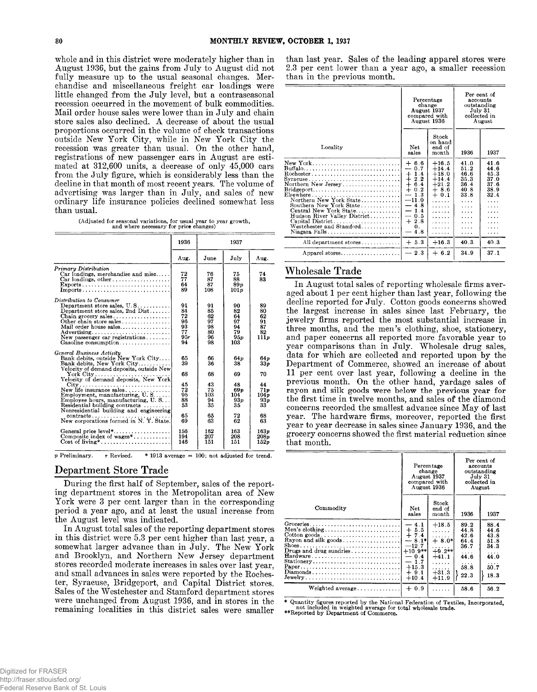whole and in this district were moderately higher than in<br>August 1936, but the gains from July to August did not<br>fully measure up to the usual seasonal changes. Mer-<br>chandise and miscellaneous freight car loadings were<br>lit Mail order house sales were lower than in July and chain<br>store sales also declined. A decrease of about the usual<br>proportions occurred in the volume of check transactions<br>outside New York City, while in New York City the recession was greater than usual. On the other hand, registrations of new passenger cars in August are estimated at 312,600 units, a decrease of only 45,000 cars from the July figure, which is considerably less than the de

**(Adjusted for seasonal variations, for usual year to year growth, and where necessary for price changes)**

|                                                                                                                                                                                                                                                                                                                                                                                                                         | 1936                                                     |                                                           | 1937                                                                                  |                                                                 |
|-------------------------------------------------------------------------------------------------------------------------------------------------------------------------------------------------------------------------------------------------------------------------------------------------------------------------------------------------------------------------------------------------------------------------|----------------------------------------------------------|-----------------------------------------------------------|---------------------------------------------------------------------------------------|-----------------------------------------------------------------|
|                                                                                                                                                                                                                                                                                                                                                                                                                         | Aug.                                                     | $_{\rm June}$                                             | July                                                                                  | Aug.                                                            |
| Primary Distribution<br>Car loadings, merchandise and misc<br>Exports<br>$Imports \ldots \ldots \ldots \ldots \ldots \ldots \ldots \ldots \ldots$                                                                                                                                                                                                                                                                       | 72<br>77<br>64<br>89                                     | 76<br>87<br>87<br>108                                     | 75<br>88<br>89 <sub>v</sub><br>101 <sub>v</sub>                                       | 74<br>83                                                        |
| Distribution to Consumer<br>Department store sales, $U.S. \ldots \ldots$<br>Department store sales, 2nd Dist<br>Other chain store sales<br>Mail order house sales<br>Advertising<br>New passenger car registrations<br>Gasoline consumption                                                                                                                                                                             | 91<br>84<br>72<br>96<br>93<br>77<br>95r<br>94            | 91<br>85<br>62<br>97<br>98<br>80<br>96<br>98              | 90<br>82<br>64<br>97<br>94<br>79<br>95p<br>103                                        | 89<br>80<br>62<br>91<br>87<br>82<br>111p                        |
| General Business Activity<br>Bank debits, outside New York City<br>Bank debits, New York City<br>Velocity of demand deposits, outside New,<br>New life insurance sales<br>Employment, manufacturing, U.S<br>Employee hours, manufacturing, U.S<br>Residential building contracts $\dots \dots$<br>Nonresidential building and engineering<br>$contracts \ldots \ldots \ldots$<br>New corporations formed in N.Y. State. | 65<br>39<br>68<br>45<br>72<br>95<br>88<br>53<br>65<br>69 | 66<br>36<br>68<br>43<br>75<br>103<br>94<br>35<br>65<br>63 | 64 p<br>38<br>69<br>48<br>69 <sub>p</sub><br>104<br>93 <sub>p</sub><br>35<br>72<br>62 | 64 p<br>33p<br>70<br>44<br>71p<br>104p<br>93p<br>33<br>68<br>63 |
| General price level*<br>Composite index of wages*                                                                                                                                                                                                                                                                                                                                                                       | 156<br>194<br>146                                        | 162<br>207<br>151                                         | 163<br>208<br>151                                                                     | 163p<br>208p<br>152p                                            |

**p Preliminary.** *r* **Revised. \* 1913 average = 100; not adjusted for trend.**

# Department Store Trade

During the first half of September, sales of the reporting department stores in the Metropolitan area of New York were 3 per cent larger than in the corresponding period a year ago, and at least the usual increase from<br>the August level was indicated.<br>In August total sales of the reporting department stores

in this district were 5.3 per cent higher than last year, a somewhat larger advance than in July. The New York and Brooklyn, and Northern New Jersey department<br>stores recorded moderate increases in sales over last year,<br>and small advances in sales were reported by the Roches-<br>ter, Syracuse, Bridgeport, and Capital District stores.<br> remaining localities in this district sales were smaller

than last year. Sales of the leading apparel stores were 2.3 per cent lower than a year ago, a smaller recession than in the previous month.

|                                                                                                                                                                                                                                                                                                                                                                                 |                                                                                                                                                                                                                                | Percentage<br>change<br>August 1937<br>compared with<br>August 1936          | Per cent of<br>accounts<br>outstanding<br>July 31<br>collected in<br>August |                                                                     |
|---------------------------------------------------------------------------------------------------------------------------------------------------------------------------------------------------------------------------------------------------------------------------------------------------------------------------------------------------------------------------------|--------------------------------------------------------------------------------------------------------------------------------------------------------------------------------------------------------------------------------|------------------------------------------------------------------------------|-----------------------------------------------------------------------------|---------------------------------------------------------------------|
| Locality                                                                                                                                                                                                                                                                                                                                                                        | Net<br>sales                                                                                                                                                                                                                   | Stock<br>on hand<br>end of<br>month                                          | 1936                                                                        | 1937                                                                |
| New York<br>Northern New Jersey<br>$\text{Bridgeport} \dots \dots \dots \dots \dots \dots \dots \dots \dots$<br>$E$ is ewhere $\ldots \ldots \ldots \ldots \ldots \ldots \ldots \ldots \ldots$<br>Northern New York State<br>Southern New York State<br>Central New York State<br>Hudson River Valley District<br>Capital District<br>Westchester and Stamford<br>Niagara Falls | $+ 6.6$<br>0.7<br>----<br>1.4<br>$\pm$<br>$^{+}$<br>2.2<br>$\div$<br>6.4<br>$^{+}$<br>0.2<br>1.3<br>$\overline{\phantom{0}}$<br>$-11.0$<br>$-4.8$<br>1.4<br>—<br>0.5<br>$\overline{\phantom{0}}$<br>2.8<br>$^{+}$<br>0.<br>4.8 | $+16.5$<br>$+14.4$<br>$+18.0$<br>$+14.4$<br>$+21.2$<br>$+8.6$<br>$+0.1$<br>. | 41.0<br>51 2<br>46.6<br>35.3<br>36.4<br>40.8<br>33.8<br>.<br>.              | 41.6<br>44.6<br>45.3<br>37.0<br>37.6<br>38.9<br>32.4<br>.<br>.<br>. |
| All department stores                                                                                                                                                                                                                                                                                                                                                           | $+ 5.3$                                                                                                                                                                                                                        | $+16.3$                                                                      | 40.3                                                                        | 40.3                                                                |
| Apparel stores                                                                                                                                                                                                                                                                                                                                                                  | 2.3                                                                                                                                                                                                                            | $+6.2$                                                                       | 34.9                                                                        | 37.1                                                                |

# Wholesale Trade

In August total sales of reporting wholesale firms averaged about 1 per cent higher than last year, following the decline reported for July. Cotton goods concerns showed the largest increase in sales since last February, t jewelry firms reported the most substantial increase in<br>three months, and the men's clothing, shoe, stationery,<br>and paper concerns all reported more favorable year to<br>year comparisons than in July. Wholesale drug sales,<br>da

|                                                                                                                                                                            | Percentage<br>change<br>August 1937<br>compared with<br>August 1936                                               |                                                                                          | Per cent of<br>accounts<br>outstanding<br>July 31<br>collected in<br>August |                                                                        |
|----------------------------------------------------------------------------------------------------------------------------------------------------------------------------|-------------------------------------------------------------------------------------------------------------------|------------------------------------------------------------------------------------------|-----------------------------------------------------------------------------|------------------------------------------------------------------------|
| Commodity                                                                                                                                                                  | Net<br>sales                                                                                                      | $_{\rm Stock}$<br>end of<br>$\n  month\n$                                                | 1936                                                                        | 1937                                                                   |
| Men's clothing<br>$\text{Cottom goods} \dots \dots \dots \dots \dots \dots \dots \dots \dots$<br>Rayon and silk goods<br>Drugs and drug sundries<br>Stationery<br>Diamonds | $-4.1$<br>$+5.5$<br>$+7.4$<br>$-8.1*$<br>$-12.7$<br>$+10.9**$<br>$-0.4$<br>$-1.7$<br>$+15.3$<br>$+9.1$<br>$+10.4$ | $+18.5$<br>.<br>.<br>$+8.0*$<br>.<br>$+9.2**$<br>$+41.1$<br>.<br>.<br>$+31.3$<br>$+11.9$ | 89.2<br>44.8<br>42.6<br>64.4<br>36.7<br>44.6<br>.<br>58.8<br>22.3           | 88.4<br>44.6<br>43.8<br>51.8<br>34.3<br>.<br>44.0<br>.<br>50.7<br>18.3 |
| Weighted average                                                                                                                                                           | $+0.9$                                                                                                            | .                                                                                        | 58.6                                                                        | 56.2                                                                   |

\* Quantity figures reported by the National Federation of Textiles, Incorporated, not included in weighted average for total wholesale trade. \*\*Reported by Department of Commerce.